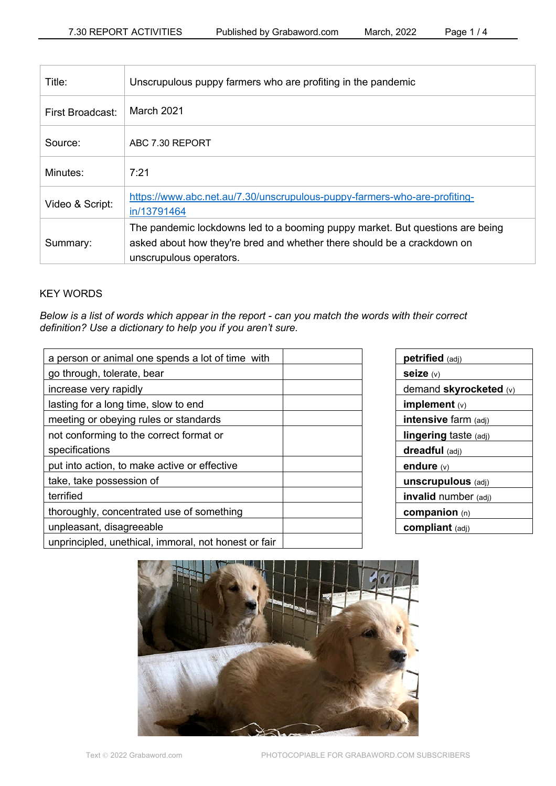| Title:           | Unscrupulous puppy farmers who are profiting in the pandemic                                                                                                                        |
|------------------|-------------------------------------------------------------------------------------------------------------------------------------------------------------------------------------|
| First Broadcast: | March 2021                                                                                                                                                                          |
| Source:          | ABC 7.30 REPORT                                                                                                                                                                     |
| Minutes:         | 7:21                                                                                                                                                                                |
| Video & Script:  | https://www.abc.net.au/7.30/unscrupulous-puppy-farmers-who-are-profiting-<br>in/13791464                                                                                            |
| Summary:         | The pandemic lockdowns led to a booming puppy market. But questions are being<br>asked about how they're bred and whether there should be a crackdown on<br>unscrupulous operators. |

## KEY WORDS

*Below is a list of words which appear in the report - can you match the words with their correct definition? Use a dictionary to help you if you aren't sure.*

| a person or animal one spends a lot of time with     |  |
|------------------------------------------------------|--|
| go through, tolerate, bear                           |  |
| increase very rapidly                                |  |
| lasting for a long time, slow to end                 |  |
| meeting or obeying rules or standards                |  |
| not conforming to the correct format or              |  |
| specifications                                       |  |
| put into action, to make active or effective         |  |
| take, take possession of                             |  |
| terrified                                            |  |
| thoroughly, concentrated use of something            |  |
| unpleasant, disagreeable                             |  |
| unprincipled, unethical, immoral, not honest or fair |  |

| <b>petrified</b> (adj)    |  |  |
|---------------------------|--|--|
| seize (v)                 |  |  |
| demand skyrocketed (v)    |  |  |
| implement $(v)$           |  |  |
| intensive farm (adj)      |  |  |
| lingering taste (adj)     |  |  |
| dreadful (adj)            |  |  |
| endure $(v)$              |  |  |
| <b>unscrupulous</b> (adj) |  |  |
| invalid number (adj)      |  |  |
| companion $(n)$           |  |  |
| <b>compliant</b> (adj)    |  |  |

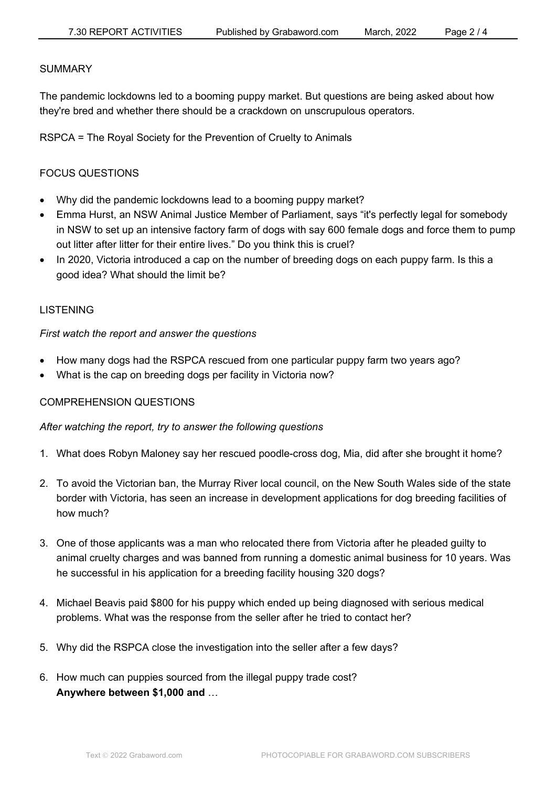#### **SUMMARY**

The pandemic lockdowns led to a booming puppy market. But questions are being asked about how they're bred and whether there should be a crackdown on unscrupulous operators.

RSPCA = The Royal Society for the Prevention of Cruelty to Animals

# FOCUS QUESTIONS

- Why did the pandemic lockdowns lead to a booming puppy market?
- Emma Hurst, an NSW Animal Justice Member of Parliament, says "it's perfectly legal for somebody in NSW to set up an intensive factory farm of dogs with say 600 female dogs and force them to pump out litter after litter for their entire lives." Do you think this is cruel?
- In 2020, Victoria introduced a cap on the number of breeding dogs on each puppy farm. Is this a good idea? What should the limit be?

## LISTENING

*First watch the report and answer the questions*

- How many dogs had the RSPCA rescued from one particular puppy farm two years ago?
- What is the cap on breeding dogs per facility in Victoria now?

# COMPREHENSION QUESTIONS

## *After watching the report, try to answer the following questions*

- 1. What does Robyn Maloney say her rescued poodle-cross dog, Mia, did after she brought it home?
- 2. To avoid the Victorian ban, the Murray River local council, on the New South Wales side of the state border with Victoria, has seen an increase in development applications for dog breeding facilities of how much?
- 3. One of those applicants was a man who relocated there from Victoria after he pleaded guilty to animal cruelty charges and was banned from running a domestic animal business for 10 years. Was he successful in his application for a breeding facility housing 320 dogs?
- 4. Michael Beavis paid \$800 for his puppy which ended up being diagnosed with serious medical problems. What was the response from the seller after he tried to contact her?
- 5. Why did the RSPCA close the investigation into the seller after a few days?
- 6. How much can puppies sourced from the illegal puppy trade cost? **Anywhere between \$1,000 and** …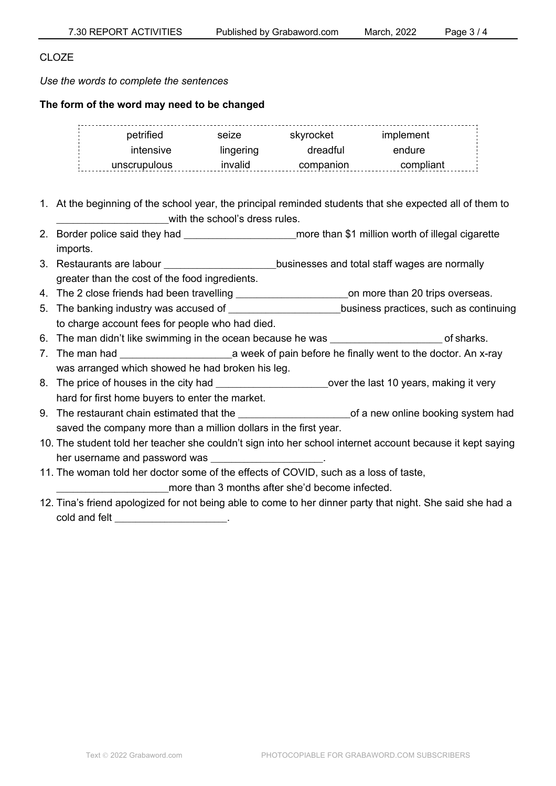## CLOZE

*Use the words to complete the sentences*

### **The form of the word may need to be changed**

| petrified    | seize     | skvrocket | implement |  |
|--------------|-----------|-----------|-----------|--|
| intensive    | lingering | dreadful  | endure    |  |
| unscrupulous | invalid   | companion | compliant |  |

- 1. At the beginning of the school year, the principal reminded students that she expected all of them to with the school's dress rules.
- 2. Border police said they had **they had they had been as a set of the set of the set of illegal cigarette** 2. imports.
- 3. Restaurants are labour **come state in the set of the state of the state of the state of the state of the state** greater than the cost of the food ingredients.
- 4. The 2 close friends had been travelling \_\_\_\_\_\_\_\_\_\_\_\_\_\_\_\_\_\_\_\_\_\_\_\_\_\_\_on more than 20 trips overseas.
- 5. The banking industry was accused of the state of the solutions practices, such as continuing to charge account fees for people who had died.
- 6. The man didn't like swimming in the ocean because he was \_\_\_\_\_\_\_\_\_\_\_\_\_\_\_\_\_\_\_\_\_\_\_\_\_\_\_ of sharks.
- 7. The man had **the manufally a** week of pain before he finally went to the doctor. An x-ray was arranged which showed he had broken his leg.
- 8. The price of houses in the city had  $\blacksquare$  over the last 10 years, making it very hard for first home buyers to enter the market.
- 9. The restaurant chain estimated that the example of a new online booking system had saved the company more than a million dollars in the first year.
- 10. The student told her teacher she couldn't sign into her school internet account because it kept saying her username and password was
- 11. The woman told her doctor some of the effects of COVID, such as a loss of taste,

more than 3 months after she'd become infected.

12. Tina's friend apologized for not being able to come to her dinner party that night. She said she had a cold and felt \_\_\_\_\_\_\_\_\_\_\_\_\_\_\_\_\_\_\_\_\_\_\_\_\_\_\_.